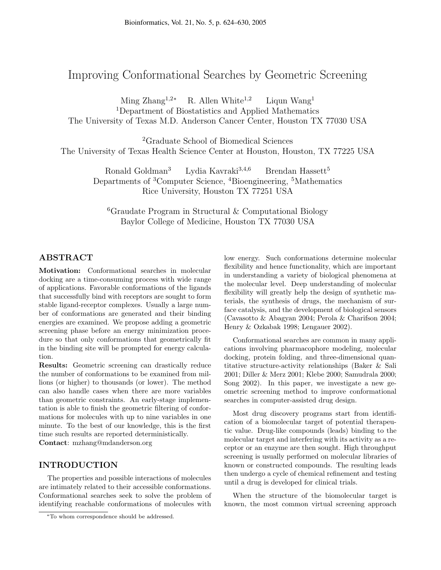# Improving Conformational Searches by Geometric Screening

Ming  $\text{Zhang}^{1,2*}$  R. Allen White<sup>1,2</sup> Liqun Wang<sup>1</sup>

<sup>1</sup>Department of Biostatistics and Applied Mathematics

The University of Texas M.D. Anderson Cancer Center, Houston TX 77030 USA

<sup>2</sup>Graduate School of Biomedical Sciences The University of Texas Health Science Center at Houston, Houston, TX 77225 USA

> Ronald Goldman<sup>3</sup> Lydia Kavraki<sup>3</sup>,4,<sup>6</sup> Brendan Hassett<sup>5</sup> Departments of <sup>3</sup>Computer Science, <sup>4</sup>Bioengineering, <sup>5</sup>Mathematics Rice University, Houston TX 77251 USA

<sup>6</sup>Graudate Program in Structural & Computational Biology Baylor College of Medicine, Houston TX 77030 USA

# ABSTRACT

Motivation: Conformational searches in molecular docking are a time-consuming process with wide range of applications. Favorable conformations of the ligands that successfully bind with receptors are sought to form stable ligand-receptor complexes. Usually a large number of conformations are generated and their binding energies are examined. We propose adding a geometric screening phase before an energy minimization procedure so that only conformations that geometrically fit in the binding site will be prompted for energy calculation.

Results: Geometric screening can drastically reduce the number of conformations to be examined from millions (or higher) to thousands (or lower). The method can also handle cases when there are more variables than geometric constraints. An early-stage implementation is able to finish the geometric filtering of conformations for molecules with up to nine variables in one minute. To the best of our knowledge, this is the first time such results are reported deterministically. Contact: mzhang@mdanderson.org

## INTRODUCTION

The properties and possible interactions of molecules are intimately related to their accessible conformations. Conformational searches seek to solve the problem of identifying reachable conformations of molecules with low energy. Such conformations determine molecular flexibility and hence functionality, which are important in understanding a variety of biological phenomena at the molecular level. Deep understanding of molecular flexibility will greatly help the design of synthetic materials, the synthesis of drugs, the mechanism of surface catalysis, and the development of biological sensors (Cavasotto & Abagyan 2004; Perola & Charifson 2004; Henry & Ozkabak 1998; Lengauer 2002).

Conformational searches are common in many applications involving pharmacophore modeling, molecular docking, protein folding, and three-dimensional quantitative structure-activity relationships (Baker & Sali 2001; Diller & Merz 2001; Klebe 2000; Samudrala 2000; Song 2002). In this paper, we investigate a new geometric screening method to improve conformational searches in computer-assisted drug design.

Most drug discovery programs start from identification of a biomolecular target of potential therapeutic value. Drug-like compounds (leads) binding to the molecular target and interfering with its activity as a receptor or an enzyme are then sought. High throughput screening is usually performed on molecular libraries of known or constructed compounds. The resulting leads then undergo a cycle of chemical refinement and testing until a drug is developed for clinical trials.

When the structure of the biomolecular target is known, the most common virtual screening approach

<sup>∗</sup>To whom correspondence should be addressed.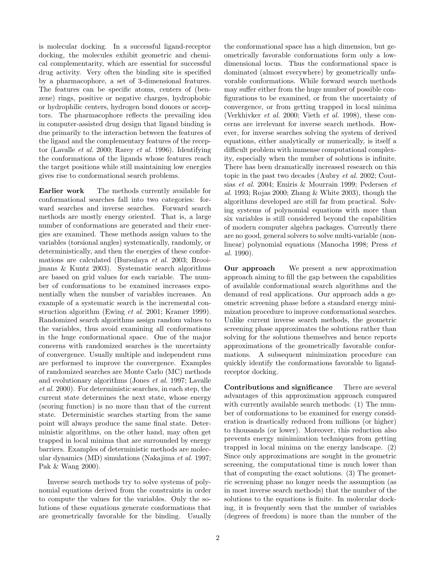is molecular docking. In a successful ligand-receptor docking, the molecules exhibit geometric and chemical complementarity, which are essential for successful drug activity. Very often the binding site is specified by a pharmacophore, a set of 3-dimensional features. The features can be specific atoms, centers of (benzene) rings, positive or negative charges, hydrophobic or hydrophilic centers, hydrogen bond donors or acceptors. The pharmacophore reflects the prevailing idea in computer-assisted drug design that ligand binding is due primarily to the interaction between the features of the ligand and the complementary features of the receptor (Lavalle et al. 2000; Rarey et al. 1996). Identifying the conformations of the ligands whose features reach the target positions while still maintaining low energies gives rise to conformational search problems.

Earlier work The methods currently available for conformational searches fall into two categories: forward searches and inverse searches. Forward search methods are mostly energy oriented. That is, a large number of conformations are generated and their energies are examined. These methods assign values to the variables (torsional angles) systematically, randomly, or deterministically, and then the energies of these conformations are calculated (Bursulaya et al. 2003; Brooijmans & Kuntz 2003). Systematic search algorithms are based on grid values for each variable. The number of conformations to be examined increases exponentially when the number of variables increases. An example of a systematic search is the incremental construction algorithm (Ewing et al. 2001; Kramer 1999). Randomized search algorithms assign random values to the variables, thus avoid examining all conformations in the huge conformational space. One of the major concerns with randomized searches is the uncertainty of convergence. Usually multiple and independent runs are performed to improve the convergence. Examples of randomized searches are Monte Carlo (MC) methods and evolutionary algorithms (Jones et al. 1997; Lavalle et al. 2000). For deterministic searches, in each step, the current state determines the next state, whose energy (scoring function) is no more than that of the current state. Deterministic searches starting from the same point will always produce the same final state. Deterministic algorithms, on the other hand, may often get trapped in local minima that are surrounded by energy barriers. Examples of deterministic methods are molecular dynamics (MD) simulations (Nakajima et al. 1997; Pak & Wang 2000).

Inverse search methods try to solve systems of polynomial equations derived from the constraints in order to compute the values for the variables. Only the solutions of these equations generate conformations that are geometrically favorable for the binding. Usually

the conformational space has a high dimension, but geometrically favorable conformations form only a lowdimensional locus. Thus the conformational space is dominated (almost everywhere) by geometrically unfavorable conformations. While forward search methods may suffer either from the huge number of possible configurations to be examined, or from the uncertainty of convergence, or from getting trapped in local minima (Verkhivker et al. 2000; Vieth et al. 1998), these concerns are irrelevant for inverse search methods. However, for inverse searches solving the system of derived equations, either analytically or numerically, is itself a difficult problem with immense computational complexity, especially when the number of solutions is infinite. There has been dramatically increased research on this topic in the past two decades (Aubry et al. 2002; Coutsias et al. 2004; Emiris & Mourrain 1999; Pedersen et al. 1993; Rojas 2000; Zhang & White 2003), though the algorithms developed are still far from practical. Solving systems of polynomial equations with more than six variables is still considered beyond the capabilities of modern computer algebra packages. Currently there are no good, general solvers to solve multi-variable (nonlinear) polynomial equations (Manocha 1998; Press et al. 1990).

Our approach We present a new approximation approach aiming to fill the gap between the capabilities of available conformational search algorithms and the demand of real applications. Our approach adds a geometric screening phase before a standard energy minimization procedure to improve conformational searches. Unlike current inverse search methods, the geometric screening phase approximates the solutions rather than solving for the solutions themselves and hence reports approximations of the geometrically favorable conformations. A subsequent minimization procedure can quickly identify the conformations favorable to ligandreceptor docking.

Contributions and significance There are several advantages of this approximation approach compared with currently available search methods: (1) The number of conformations to be examined for energy consideration is drastically reduced from millions (or higher) to thousands (or lower). Moreover, this reduction also prevents energy minimization techniques from getting trapped in local minima on the energy landscape. (2) Since only approximations are sought in the geometric screening, the computational time is much lower than that of computing the exact solutions. (3) The geometric screening phase no longer needs the assumption (as in most inverse search methods) that the number of the solutions to the equations is finite. In molecular docking, it is frequently seen that the number of variables (degrees of freedom) is more than the number of the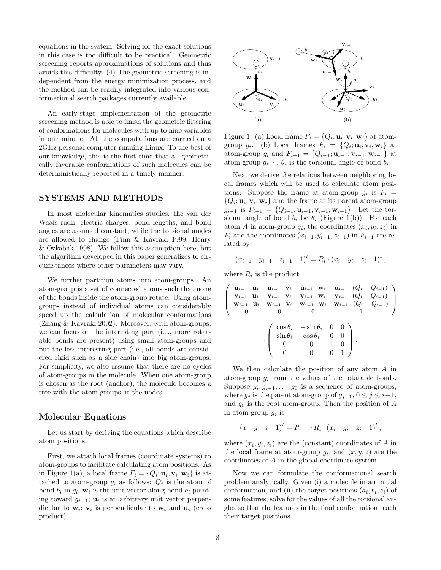equations in the system. Solving for the exact solutions in this case is too difficult to be practical. Geometric screening reports approximations of solutions and thus avoids this difficulty. (4) The geometric screening is independent from the energy minimization process, and the method can be readily integrated into various conformational search packages currently available.

An early-stage implementation of the geometric screening method is able to finish the geometric filtering of conformations for molecules with up to nine variables in one minute. All the computations are carried on a 2GHz personal computer running Linux. To the best of our knowledge, this is the first time that all geometrically favorable conformations of such molecules can be deterministically reported in a timely manner.

## SYSTEMS AND METHODS

In most molecular kinematics studies, the van der Waals radii, electric charges, bond lengths, and bond angles are assumed constant, while the torsional angles are allowed to change (Finn & Kavraki 1999; Henry & Ozkabak 1998). We follow this assumption here, but the algorithm developed in this paper generalizes to circumstances where other parameters may vary.

We further partition atoms into atom-groups. An atom-group is a set of connected atoms such that none of the bonds inside the atom-group rotate. Using atomgroups instead of individual atoms can considerably speed up the calculation of molecular conformations (Zhang & Kavraki 2002). Moreover, with atom-groups, we can focus on the interesting part (i.e., more rotatable bonds are present) using small atom-groups and put the less interesting part (i.e., all bonds are considered rigid such as a side chain) into big atom-groups. For simplicity, we also assume that there are no cycles of atom-groups in the molecule. When one atom-group is chosen as the root (anchor), the molecule becomes a tree with the atom-groups at the nodes.

#### Molecular Equations

Let us start by deriving the equations which describe atom positions.

First, we attach local frames (coordinate systems) to atom-groups to facilitate calculating atom positions. As in Figure 1(a), a local frame  $F_i = \{Q_i; \mathbf{u}_i, \mathbf{v}_i, \mathbf{w}_i\}$  is attached to atom-group  $g_i$  as follows:  $Q_i$  is the atom of bond  $b_i$  in  $g_i$ ;  $\mathbf{w}_i$  is the unit vector along bond  $b_i$  pointing toward  $g_{i-1}$ ;  $\mathbf{u}_i$  is an arbitrary unit vector perpendicular to  $\mathbf{w}_i$ ;  $\mathbf{v}_i$  is perpendicular to  $\mathbf{w}_i$  and  $\mathbf{u}_i$  (cross product).



Figure 1: (a) Local frame  $F_i = \{Q_i; \mathbf{u}_i, \mathbf{v}_i, \mathbf{w}_i\}$  at atomgroup  $g_i$ . (b) Local frames  $F_i = \{Q_i; \mathbf{u}_i, \mathbf{v}_i, \mathbf{w}_i\}$  at atom-group  $g_i$  and  $F_{i-1} = \{Q_{i-1}; \mathbf{u}_{i-1}, \mathbf{v}_{i-1}, \mathbf{w}_{i-1}\}\$ at atom-group  $g_{i-1}$ .  $\theta_i$  is the torsional angle of bond  $b_i$ .

Next we derive the relations between neighboring local frames which will be used to calculate atom positions. Suppose the frame at atom-group  $g_i$  is  $F_i =$  $\{Q_i; \mathbf{u}_i, \mathbf{v}_i, \mathbf{w}_i\}$  and the frame at its parent atom-group  $g_{i-1}$  is  $F_{i-1} = \{Q_{i-1}; \mathbf{u}_{i-1}, \mathbf{v}_{i-1}, \mathbf{w}_{i-1}\}.$  Let the torsional angle of bond  $b_i$  be  $\theta_i$  (Figure 1(b)). For each atom A in atom-group  $g_i$ , the coordinates  $(x_i, y_i, z_i)$  in  $F_i$  and the coordinates  $(x_{i-1}, y_{i-1}, z_{i-1})$  in  $F_{i-1}$  are related by

$$
(x_{i-1} \quad y_{i-1} \quad z_{i-1} \quad 1)^t = R_i \cdot (x_i \quad y_i \quad z_i \quad 1)^t,
$$

where  $R_i$  is the product

$$
\begin{pmatrix}\n\mathbf{u}_{i-1} \cdot \mathbf{u}_{i} & \mathbf{u}_{i-1} \cdot \mathbf{v}_{i} & \mathbf{u}_{i-1} \cdot \mathbf{w}_{i} & \mathbf{u}_{i-1} \cdot (Q_{i} - Q_{i-1}) \\
\mathbf{v}_{i-1} \cdot \mathbf{u}_{i} & \mathbf{v}_{i-1} \cdot \mathbf{v}_{i} & \mathbf{v}_{i-1} \cdot \mathbf{w}_{i} & \mathbf{v}_{i-1} \cdot (Q_{i} - Q_{i-1}) \\
\mathbf{w}_{i-1} \cdot \mathbf{u}_{i} & \mathbf{w}_{i-1} \cdot \mathbf{v}_{i} & \mathbf{w}_{i-1} \cdot \mathbf{w}_{i} & \mathbf{w}_{i-1} \cdot (Q_{i} - Q_{i-1}) \\
0 & 0 & 0 & 1\n\end{pmatrix}
$$
\n
$$
\cdot \begin{pmatrix}\n\cos \theta_{i} & -\sin \theta_{i} & 0 & 0 \\
\sin \theta_{i} & \cos \theta_{i} & 0 & 0 \\
0 & 0 & 1 & 0 \\
0 & 0 & 0 & 1\n\end{pmatrix}.
$$

We then calculate the position of any atom A in atom-group  $q_i$  from the values of the rotatable bonds. Suppose  $g_i, g_{i-1}, \ldots, g_0$  is a sequence of atom-groups, where  $g_j$  is the parent atom-group of  $g_{j+1}$ ,  $0 \le j \le i-1$ , and  $g_0$  is the root atom-group. Then the position of  $A$ in atom-group  $g_i$  is

$$
(x \quad y \quad z \quad 1)^t = R_1 \cdots R_i \cdot (x_i \quad y_i \quad z_i \quad 1)^t,
$$

where  $(x_i, y_i, z_i)$  are the (constant) coordinates of A in the local frame at atom-group  $g_i$ , and  $(x, y, z)$  are the coordinates of A in the global coordinate system.

Now we can formulate the conformational search problem analytically. Given (i) a molecule in an initial conformation, and (ii) the target positions  $(a_i, b_i, c_i)$  of some features, solve for the values of all the torsional angles so that the features in the final conformation reach their target positions.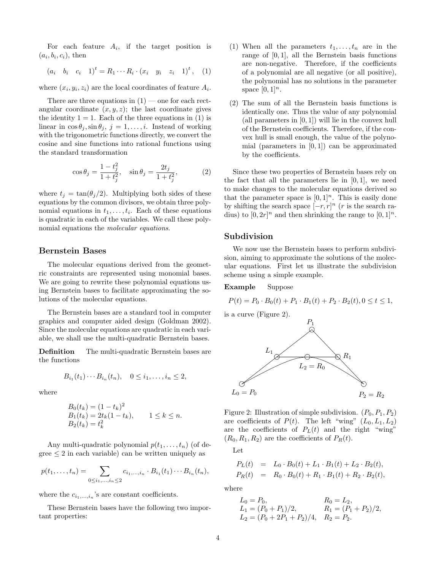For each feature  $A_i$ , if the target position is  $(a_i, b_i, c_i)$ , then

$$
(a_i \quad b_i \quad c_i \quad 1)^t = R_1 \cdots R_i \cdot (x_i \quad y_i \quad z_i \quad 1)^t, \quad (1)
$$

where  $(x_i, y_i, z_i)$  are the local coordinates of feature  $A_i$ .

There are three equations in  $(1)$  — one for each rectangular coordinate  $(x, y, z)$ ; the last coordinate gives the identity  $1 = 1$ . Each of the three equations in (1) is linear in  $\cos \theta_j$ ,  $\sin \theta_j$ ,  $j = 1, ..., i$ . Instead of working with the trigonometric functions directly, we convert the cosine and sine functions into rational functions using the standard transformation

$$
\cos \theta_j = \frac{1 - t_j^2}{1 + t_j^2}, \quad \sin \theta_j = \frac{2t_j}{1 + t_j^2}, \tag{2}
$$

where  $t_j = \tan(\theta_j/2)$ . Multiplying both sides of these equations by the common divisors, we obtain three polynomial equations in  $t_1, \ldots, t_i$ . Each of these equations is quadratic in each of the variables. We call these polynomial equations the *molecular equations*.

## Bernstein Bases

The molecular equations derived from the geometric constraints are represented using monomial bases. We are going to rewrite these polynomial equations using Bernstein bases to facilitate approximating the solutions of the molecular equations.

The Bernstein bases are a standard tool in computer graphics and computer aided design (Goldman 2002). Since the molecular equations are quadratic in each variable, we shall use the multi-quadratic Bernstein bases.

Definition The multi-quadratic Bernstein bases are the functions

$$
B_{i_1}(t_1)\cdots B_{i_n}(t_n), \quad 0 \leq i_1,\ldots, i_n \leq 2,
$$

where

$$
B_0(t_k) = (1 - t_k)^2 B_1(t_k) = 2t_k(1 - t_k), \qquad 1 \le k \le n.
$$
  

$$
B_2(t_k) = t_k^2
$$

Any multi-quadratic polynomial  $p(t_1, \ldots, t_n)$  (of de- $\text{gree} \leq 2$  in each variable) can be written uniquely as

$$
p(t_1,\ldots,t_n) = \sum_{0 \le i_1,\ldots,i_n \le 2} c_{i_1,\ldots,i_n} \cdot B_{i_1}(t_1) \cdots B_{i_n}(t_n),
$$

where the  $c_{i_1,\ldots,i_n}$ 's are constant coefficients.

These Bernstein bases have the following two important properties:

- (1) When all the parameters  $t_1, \ldots, t_n$  are in the range of  $[0, 1]$ , all the Bernstein basis functions are non-negative. Therefore, if the coefficients of a polynomial are all negative (or all positive), the polynomial has no solutions in the parameter space  $[0, 1]^n$ .
- (2) The sum of all the Bernstein basis functions is identically one. Thus the value of any polynomial (all parameters in  $[0, 1]$ ) will lie in the convex hull of the Bernstein coefficients. Therefore, if the convex hull is small enough, the value of the polynomial (parameters in [0, 1]) can be approximated by the coefficients.

Since these two properties of Bernstein bases rely on the fact that all the parameters lie in [0, 1], we need to make changes to the molecular equations derived so that the parameter space is  $[0, 1]^n$ . This is easily done by shifting the search space  $[-r, r]^n$  (*r* is the search radius) to  $[0, 2r]^n$  and then shrinking the range to  $[0, 1]^n$ .

#### Subdivision

We now use the Bernstein bases to perform subdivision, aiming to approximate the solutions of the molecular equations. First let us illustrate the subdivision scheme using a simple example.

#### Example Suppose

$$
P(t) = P_0 \cdot B_0(t) + P_1 \cdot B_1(t) + P_2 \cdot B_2(t), 0 \le t \le 1,
$$

is a curve (Figure 2).



Figure 2: Illustration of simple subdivision.  $(P_0, P_1, P_2)$ are coefficients of  $P(t)$ . The left "wing"  $(L_0, L_1, L_2)$ are the coefficients of  $P<sub>L</sub>(t)$  and the right "wing"  $(R_0, R_1, R_2)$  are the coefficients of  $P_R(t)$ .

Let

$$
P_L(t) = L_0 \cdot B_0(t) + L_1 \cdot B_1(t) + L_2 \cdot B_2(t),
$$
  
\n
$$
P_R(t) = R_0 \cdot B_0(t) + R_1 \cdot B_1(t) + R_2 \cdot B_2(t),
$$

where

$$
L_0 = P_0, \t R_0 = L_2,
$$
  
\n
$$
L_1 = (P_0 + P_1)/2, \t R_1 = (P_1 + P_2)/2,
$$
  
\n
$$
L_2 = (P_0 + 2P_1 + P_2)/4, \t R_2 = P_2.
$$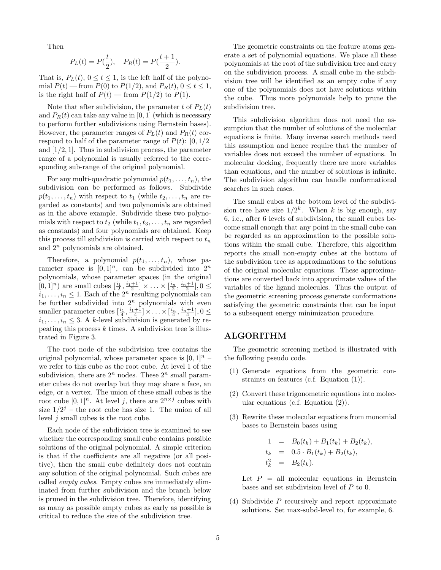Then

$$
P_L(t) = P(\frac{t}{2}), \quad P_R(t) = P(\frac{t+1}{2}).
$$

That is,  $P_L(t)$ ,  $0 \le t \le 1$ , is the left half of the polynomial  $P(t)$  — from  $P(0)$  to  $P(1/2)$ , and  $P_R(t)$ ,  $0 \le t \le 1$ , is the right half of  $P(t)$  — from  $P(1/2)$  to  $P(1)$ .

Note that after subdivision, the parameter t of  $P_L(t)$ and  $P_R(t)$  can take any value in [0, 1] (which is necessary to perform further subdivisions using Bernstein bases). However, the parameter ranges of  $P_L(t)$  and  $P_R(t)$  correspond to half of the parameter range of  $P(t)$ : [0, 1/2] and  $[1/2, 1]$ . Thus in subdivision process, the parameter range of a polynomial is usually referred to the corresponding sub-range of the original polynomial.

For any multi-quadratic polynomial  $p(t_1, \ldots, t_n)$ , the subdivision can be performed as follows. Subdivide  $p(t_1, \ldots, t_n)$  with respect to  $t_1$  (while  $t_2, \ldots, t_n$  are regarded as constants) and two polynomials are obtained as in the above example. Subdivide these two polynomials with respect to  $t_2$  (while  $t_1, t_3, \ldots, t_n$  are regarded as constants) and four polynomials are obtained. Keep this process till subdivision is carried with respect to  $t_n$ and  $2^n$  polynomials are obtained.

Therefore, a polynomial  $p(t_1, \ldots, t_n)$ , whose parameter space is  $[0,1]^n$ , can be subdivided into  $2^n$ polynomials, whose parameter spaces (in the original  $[0,1]^n$  are small cubes  $[\frac{i_1}{2}, \frac{i_1+1}{2}] \times ... \times [\frac{i_n}{2}, \frac{i_n+1}{2}]$ ,  $0 \le$  $i_1, \ldots, i_n \leq 1$ . Each of the  $2^n$  resulting polynomials can be further subdivided into  $2^n$  polynomials with even smaller parameter cubes  $\left[\frac{i_1}{4}, \frac{i_1+1}{4}\right] \times \ldots \times \left[\frac{i_n}{4}, \frac{i_n+1}{4}\right]$ ,  $0 \le$  $i_1, \ldots, i_n \leq 3$ . A k-level subdivision is generated by repeating this process  $k$  times. A subdivision tree is illustrated in Figure 3.

The root node of the subdivision tree contains the original polynomial, whose parameter space is  $[0, 1]^n$  – we refer to this cube as the root cube. At level 1 of the subdivision, there are  $2^n$  nodes. These  $2^n$  small parameter cubes do not overlap but they may share a face, an edge, or a vertex. The union of these small cubes is the root cube  $[0,1]^n$ . At level j, there are  $2^{n \times j}$  cubes with size  $1/2^j$  – the root cube has size 1. The union of all level j small cubes is the root cube.

Each node of the subdivision tree is examined to see whether the corresponding small cube contains possible solutions of the original polynomial. A simple criterion is that if the coefficients are all negative (or all positive), then the small cube definitely does not contain any solution of the original polynomial. Such cubes are called empty cubes. Empty cubes are immediately eliminated from further subdivision and the branch below is pruned in the subdivision tree. Therefore, identifying as many as possible empty cubes as early as possible is critical to reduce the size of the subdivision tree.

The geometric constraints on the feature atoms generate a set of polynomial equations. We place all these polynomials at the root of the subdivision tree and carry on the subdivision process. A small cube in the subdivision tree will be identified as an empty cube if any one of the polynomials does not have solutions within the cube. Thus more polynomials help to prune the subdivision tree.

This subdivision algorithm does not need the assumption that the number of solutions of the molecular equations is finite. Many inverse search methods need this assumption and hence require that the number of variables does not exceed the number of equations. In molecular docking, frequently there are more variables than equations, and the number of solutions is infinite. The subdivision algorithm can handle conformational searches in such cases.

The small cubes at the bottom level of the subdivision tree have size  $1/2^k$ . When k is big enough, say 6, i.e., after 6 levels of subdivision, the small cubes become small enough that any point in the small cube can be regarded as an approximation to the possible solutions within the small cube. Therefore, this algorithm reports the small non-empty cubes at the bottom of the subdivision tree as approximations to the solutions of the original molecular equations. These approximations are converted back into approximate values of the variables of the ligand molecules. Thus the output of the geometric screening process generate conformations satisfying the geometric constraints that can be input to a subsequent energy minimization procedure.

## ALGORITHM

The geometric screening method is illustrated with the following pseudo code.

- (1) Generate equations from the geometric constraints on features (c.f. Equation (1)).
- (2) Convert these trigonometric equations into molecular equations (c.f. Equation (2)).
- (3) Rewrite these molecular equations from monomial bases to Bernstein bases using

$$
1 = B_0(t_k) + B_1(t_k) + B_2(t_k),
$$
  
\n
$$
t_k = 0.5 \cdot B_1(t_k) + B_2(t_k),
$$
  
\n
$$
t_k^2 = B_2(t_k).
$$

Let  $P =$  all molecular equations in Bernstein bases and set subdivision level of P to 0.

(4) Subdivide P recursively and report approximate solutions. Set max-subd-level to, for example, 6.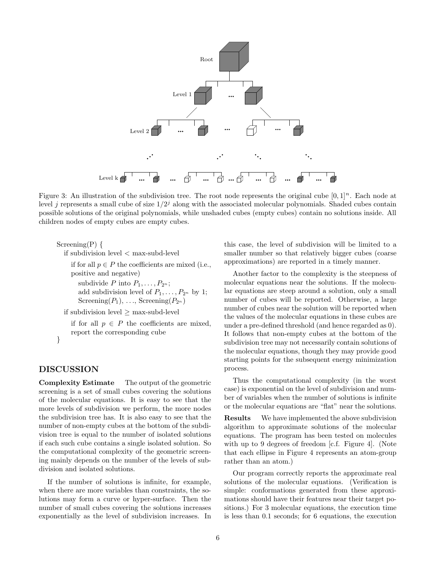

Figure 3: An illustration of the subdivision tree. The root node represents the original cube  $[0, 1]^n$ . Each node at level j represents a small cube of size  $1/2<sup>j</sup>$  along with the associated molecular polynomials. Shaded cubes contain possible solutions of the original polynomials, while unshaded cubes (empty cubes) contain no solutions inside. All children nodes of empty cubes are empty cubes.

Screening $(P)$  {

if subdivision level < max-subd-level

if for all  $p \in P$  the coefficients are mixed (i.e., positive and negative)

subdivide P into  $P_1, \ldots, P_{2^n}$ ;

add subdivision level of  $P_1, \ldots, P_{2^n}$  by 1; Screening $(P_1), \ldots$ , Screening $(P_{2^n})$ 

if subdivision level  $\ge$  max-subd-level

if for all  $p \in P$  the coefficients are mixed, report the corresponding cube

# DISCUSSION

}

Complexity Estimate The output of the geometric screening is a set of small cubes covering the solutions of the molecular equations. It is easy to see that the more levels of subdivision we perform, the more nodes the subdivision tree has. It is also easy to see that the number of non-empty cubes at the bottom of the subdivision tree is equal to the number of isolated solutions if each such cube contains a single isolated solution. So the computational complexity of the geometric screening mainly depends on the number of the levels of subdivision and isolated solutions.

If the number of solutions is infinite, for example, when there are more variables than constraints, the solutions may form a curve or hyper-surface. Then the number of small cubes covering the solutions increases exponentially as the level of subdivision increases. In this case, the level of subdivision will be limited to a smaller number so that relatively bigger cubes (coarse approximations) are reported in a timely manner.

Another factor to the complexity is the steepness of molecular equations near the solutions. If the molecular equations are steep around a solution, only a small number of cubes will be reported. Otherwise, a large number of cubes near the solution will be reported when the values of the molecular equations in these cubes are under a pre-defined threshold (and hence regarded as 0). It follows that non-empty cubes at the bottom of the subdivision tree may not necessarily contain solutions of the molecular equations, though they may provide good starting points for the subsequent energy minimization process.

Thus the computational complexity (in the worst case) is exponential on the level of subdivision and number of variables when the number of solutions is infinite or the molecular equations are "flat" near the solutions.

Results We have implemented the above subdivision algorithm to approximate solutions of the molecular equations. The program has been tested on molecules with up to 9 degrees of freedom [c.f. Figure 4]. (Note that each ellipse in Figure 4 represents an atom-group rather than an atom.)

Our program correctly reports the approximate real solutions of the molecular equations. (Verification is simple: conformations generated from these approximations should have their features near their target positions.) For 3 molecular equations, the execution time is less than 0.1 seconds; for 6 equations, the execution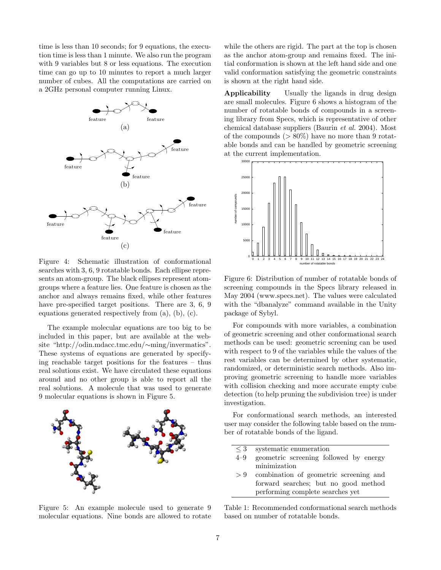time is less than 10 seconds; for 9 equations, the execution time is less than 1 minute. We also run the program with 9 variables but 8 or less equations. The execution time can go up to 10 minutes to report a much larger number of cubes. All the computations are carried on a 2GHz personal computer running Linux.



Figure 4: Schematic illustration of conformational searches with 3, 6, 9 rotatable bonds. Each ellipse represents an atom-group. The black ellipses represent atomgroups where a feature lies. One feature is chosen as the anchor and always remains fixed, while other features have pre-specified target positions. There are 3, 6, 9 equations generated respectively from (a), (b), (c).

The example molecular equations are too big to be included in this paper, but are available at the website "http://odin.mdacc.tmc.edu/∼ming/invermatics". These systems of equations are generated by specifying reachable target positions for the features – thus real solutions exist. We have circulated these equations around and no other group is able to report all the real solutions. A molecule that was used to generate 9 molecular equations is shown in Figure 5.



Figure 5: An example molecule used to generate 9 molecular equations. Nine bonds are allowed to rotate

while the others are rigid. The part at the top is chosen as the anchor atom-group and remains fixed. The initial conformation is shown at the left hand side and one valid conformation satisfying the geometric constraints is shown at the right hand side.

Applicability Usually the ligands in drug design are small molecules. Figure 6 shows a histogram of the number of rotatable bonds of compounds in a screening library from Specs, which is representative of other chemical database suppliers (Baurin et al. 2004). Most of the compounds  $(> 80\%)$  have no more than 9 rotatable bonds and can be handled by geometric screening at the current implementation.



Figure 6: Distribution of number of rotatable bonds of screening compounds in the Specs library released in May 2004 (www.specs.net). The values were calculated with the "dbanalyze" command available in the Unity package of Sybyl.

For compounds with more variables, a combination of geometric screening and other conformational search methods can be used: geometric screening can be used with respect to 9 of the variables while the values of the rest variables can be determined by other systematic, randomized, or deterministic search methods. Also improving geometric screening to handle more variables with collision checking and more accurate empty cube detection (to help pruning the subdivision tree) is under investigation.

For conformational search methods, an interested user may consider the following table based on the number of rotatable bonds of the ligand.

 $\leq 3$  systematic enumeration 4–9 geometric screening followed by energy minimization > 9 combination of geometric screening and forward searches; but no good method performing complete searches yet

Table 1: Recommended conformational search methods based on number of rotatable bonds.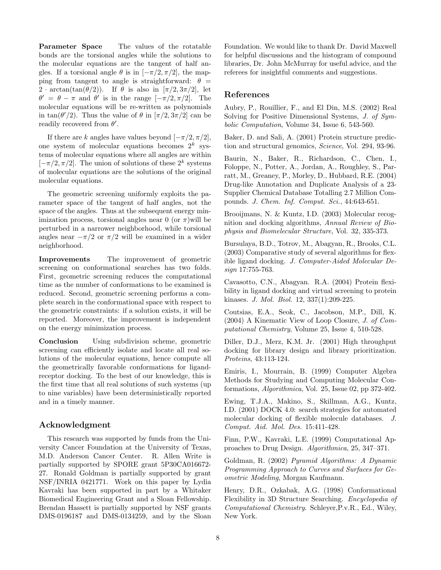Parameter Space The values of the rotatable bonds are the torsional angles while the solutions to the molecular equations are the tangent of half angles. If a torsional angle  $\theta$  is in  $[-\pi/2, \pi/2]$ , the mapping from tangent to angle is straightforward:  $\theta =$ 2 · arctan(tan( $\theta$ /2)). If  $\theta$  is also in  $[\pi/2, 3\pi/2]$ , let  $\theta' = \theta - \pi$  and  $\theta'$  is in the range  $[-\pi/2, \pi/2]$ . The molecular equations will be re-written as polynomials in  $\tan(\theta'/2)$ . Thus the value of  $\theta$  in  $[\pi/2, 3\pi/2]$  can be readily recovered from  $\theta'$ .

If there are k angles have values beyond  $[-\pi/2, \pi/2]$ , one system of molecular equations becomes  $2^k$  systems of molecular equations where all angles are within  $[-\pi/2, \pi/2]$ . The union of solutions of these  $2^k$  systems of molecular equations are the solutions of the original molecular equations.

The geometric screening uniformly exploits the parameter space of the tangent of half angles, not the space of the angles. Thus at the subsequent energy minimization process, torsional angles near 0 (or  $\pi$ )will be perturbed in a narrower neighborhood, while torsional angles near  $-\pi/2$  or  $\pi/2$  will be examined in a wider neighborhood.

Improvements The improvement of geometric screening on conformational searches has two folds. First, geometric screening reduces the computational time as the number of conformations to be examined is reduced. Second, geometric screening performs a complete search in the conformational space with respect to the geometric constraints: if a solution exists, it will be reported. Moreover, the improvement is independent on the energy minimization process.

Conclusion Using subdivision scheme, geometric screening can efficiently isolate and locate all real solutions of the molecular equations, hence compute all the geometrically favorable conformations for ligandreceptor docking. To the best of our knowledge, this is the first time that all real solutions of such systems (up to nine variables) have been deterministically reported and in a timely manner.

#### Acknowledgment

This research was supported by funds from the University Cancer Foundation at the University of Texas, M.D. Anderson Cancer Center. R. Allen Write is partially supported by SPORE grant 5P30CA016672- 27. Ronald Goldman is partially supported by grant NSF/INRIA 0421771. Work on this paper by Lydia Kavraki has been supported in part by a Whitaker Biomedical Engineering Grant and a Sloan Fellowship. Brendan Hassett is partially supported by NSF grants DMS-0196187 and DMS-0134259, and by the Sloan Foundation. We would like to thank Dr. David Maxwell for helpful discussions and the histogram of compound libraries, Dr. John McMurray for useful advice, and the referees for insightful comments and suggestions.

## References

Aubry, P., Rouillier, F., and El Din, M.S. (2002) Real Solving for Positive Dimensional Systems, J. of Symbolic Computation, Volume 34, Issue 6, 543-560.

Baker, D. and Sali, A. (2001) Protein structure prediction and structural genomics, Science, Vol. 294, 93-96.

Baurin, N., Baker, R., Richardson, C., Chen, I., Foloppe, N., Potter, A., Jordan, A., Roughley, S., Parratt, M., Greaney, P., Morley, D., Hubbard, R.E. (2004) Drug-like Annotation and Duplicate Analysis of a 23- Supplier Chemical Database Totalling 2.7 Million Compounds. J. Chem. Inf. Comput. Sci., 44:643-651.

Brooijmans, N. & Kuntz, I.D. (2003) Molecular recognition and docking algorithms, Annual Review of Biophysis and Biomelecular Structure, Vol. 32, 335-373.

Bursulaya, B.D., Totrov, M., Abagyan, R., Brooks, C.L. (2003) Comparative study of several algorithms for flexible ligand docking. J. Computer-Aided Molecular Design 17:755-763.

Cavasotto, C.N., Abagyan. R.A. (2004) Protein flexibility in ligand docking and virtual screening to protein kinases. J. Mol. Biol. 12, 337(1):209-225.

Coutsias, E.A., Seok, C., Jacobson, M.P., Dill, K. (2004) A Kinematic View of Loop Closure, J. of Computational Chemistry, Volume 25, Issue 4, 510-528.

Diller, D.J., Merz, K.M. Jr. (2001) High throughput docking for library design and library prioritization. Proteins, 43:113-124.

Emiris, I., Mourrain, B. (1999) Computer Algebra Methods for Studying and Computing Molecular Conformations, Algorithmica, Vol. 25, Issue 02, pp 372-402.

Ewing, T.J.A., Makino, S., Skillman, A.G., Kuntz, I.D. (2001) DOCK 4.0: search strategies for automated molecular docking of flexible molecule databases. J. Comput. Aid. Mol. Des. 15:411-428.

Finn, P.W., Kavraki, L.E. (1999) Computational Approaches to Drug Design. Algorithmica, 25, 347–371.

Goldman, R. (2002) Pyramid Algorithms: A Dynamic Programming Approach to Curves and Surfaces for Geometric Modeling, Morgan Kaufmann.

Henry, D.R., Ozkabak, A.G. (1998) Conformational Flexibility in 3D Structure Searching. Encyclopedia of Computational Chemistry. Schleyer,P.v.R., Ed., Wiley, New York.